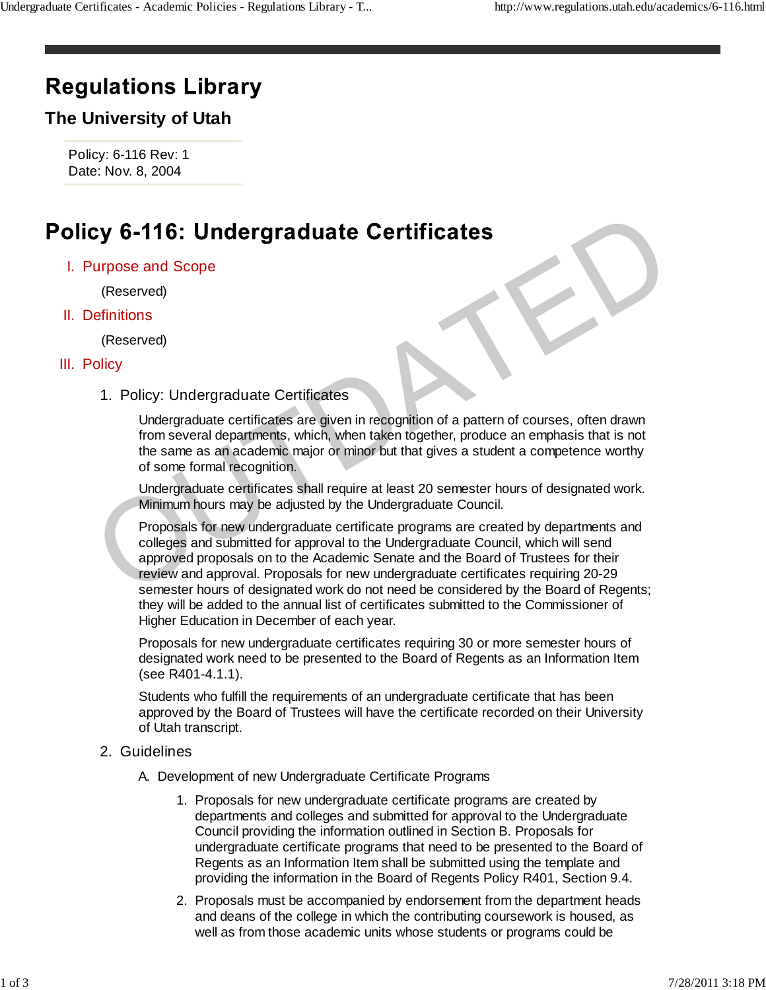# **Regulations Library**

## **The University of Utah**

Policy: 6-116 Rev: 1 Date: Nov. 8, 2004

#### I. Purpose and Scope

(Reserved)

### II. Definitions

(Reserved)

#### III. Policy

1. Policy: Undergraduate Certificates

Undergraduate certificates are given in recognition of a pattern of courses, often drawn from several departments, which, when taken together, produce an emphasis that is not the same as an academic major or minor but that gives a student a competence worthy of some formal recognition.

Undergraduate certificates shall require at least 20 semester hours of designated work. Minimum hours may be adjusted by the Undergraduate Council.

Proposals for new undergraduate certificate programs are created by departments and colleges and submitted for approval to the Undergraduate Council, which will send approved proposals on to the Academic Senate and the Board of Trustees for their review and approval. Proposals for new undergraduate certificates requiring 20-29 semester hours of designated work do not need be considered by the Board of Regents; they will be added to the annual list of certificates submitted to the Commissioner of Higher Education in December of each year. Cy 6-116: Undergraduate Certificates<br>
urpose and Scope<br>
(Reserved)<br>
effinitions<br>
1. Policy: Undergraduate certificates<br>
Undergraduate certificates<br>
Undergraduate certificates<br>
Undergraduate certificates<br>
Undergraduate cert

Proposals for new undergraduate certificates requiring 30 or more semester hours of designated work need to be presented to the Board of Regents as an Information Item (see R401-4.1.1).

Students who fulfill the requirements of an undergraduate certificate that has been approved by the Board of Trustees will have the certificate recorded on their University of Utah transcript.

#### 2. Guidelines

- A. Development of new Undergraduate Certificate Programs
	- 1. Proposals for new undergraduate certificate programs are created by departments and colleges and submitted for approval to the Undergraduate Council providing the information outlined in Section B. Proposals for undergraduate certificate programs that need to be presented to the Board of Regents as an Information Item shall be submitted using the template and providing the information in the Board of Regents Policy R401, Section 9.4.
	- 2. Proposals must be accompanied by endorsement from the department heads and deans of the college in which the contributing coursework is housed, as well as from those academic units whose students or programs could be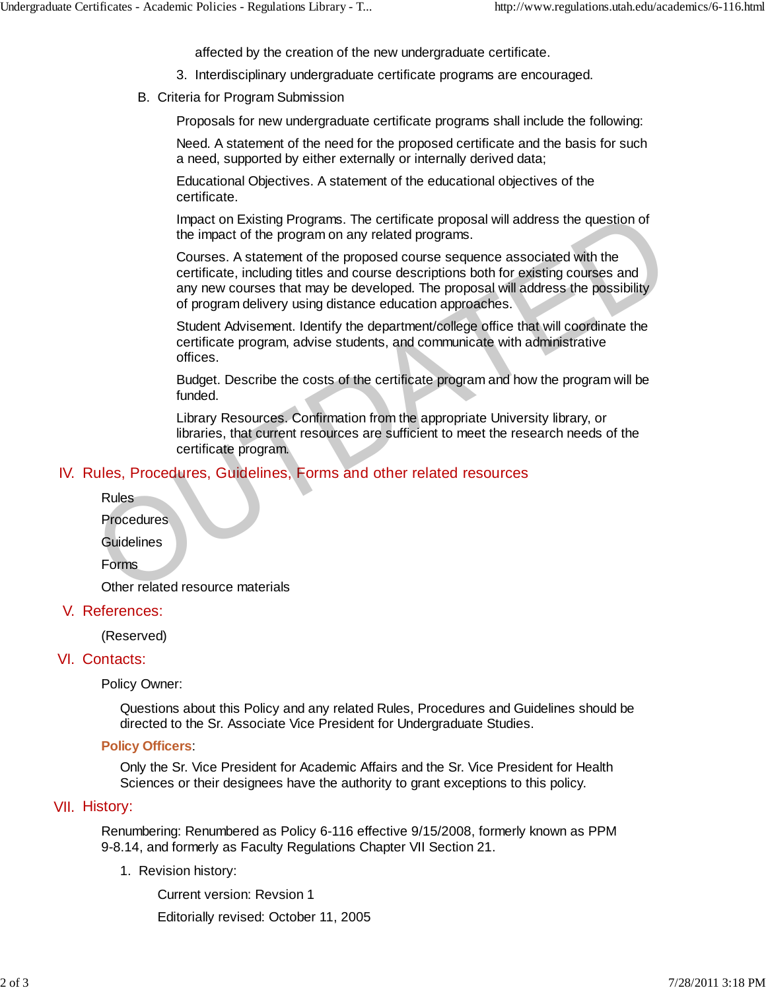affected by the creation of the new undergraduate certificate.

- 3. Interdisciplinary undergraduate certificate programs are encouraged.
- B. Criteria for Program Submission

Proposals for new undergraduate certificate programs shall include the following:

Need. A statement of the need for the proposed certificate and the basis for such a need, supported by either externally or internally derived data;

Educational Objectives. A statement of the educational objectives of the certificate.

Impact on Existing Programs. The certificate proposal will address the question of the impact of the program on any related programs.

Courses. A statement of the proposed course sequence associated with the certificate, including titles and course descriptions both for existing courses and any new courses that may be developed. The proposal will address the possibility of program delivery using distance education approaches. Impact on Existing Programs. The certificate proposal will address the question of<br>the impact of the program on any related programs.<br>Courses. A statement of the proposed course sequence associated with the<br>certificate, in

Student Advisement. Identify the department/college office that will coordinate the certificate program, advise students, and communicate with administrative offices.

Budget. Describe the costs of the certificate program and how the program will be funded.

Library Resources. Confirmation from the appropriate University library, or libraries, that current resources are sufficient to meet the research needs of the certificate program.

#### IV. Rules, Procedures, Guidelines, Forms and other related resources

Rules

Procedures

**Guidelines** 

Forms

Other related resource materials

V. References:

(Reserved)

#### VI. Contacts:

Policy Owner:

Questions about this Policy and any related Rules, Procedures and Guidelines should be directed to the Sr. Associate Vice President for Undergraduate Studies.

#### **Policy Officers**:

Only the Sr. Vice President for Academic Affairs and the Sr. Vice President for Health Sciences or their designees have the authority to grant exceptions to this policy.

#### VII. History:

Renumbering: Renumbered as Policy 6-116 effective 9/15/2008, formerly known as PPM 9-8.14, and formerly as Faculty Regulations Chapter VII Section 21.

1. Revision history:

Current version: Revsion 1

Editorially revised: October 11, 2005